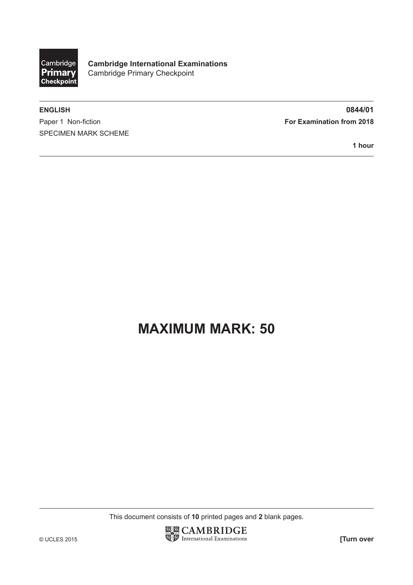

**Cambridge International Examinations** Cambridge Primary Checkpoint

Paper 1 Non-fiction **For Examination from 2018** SPECIMEN MARK SCHEME

**ENGLISH 0844/01**

**1 hour**

# **MAXIMUM MARK: 50**

This document consists of **10** printed pages and **2** blank pages.

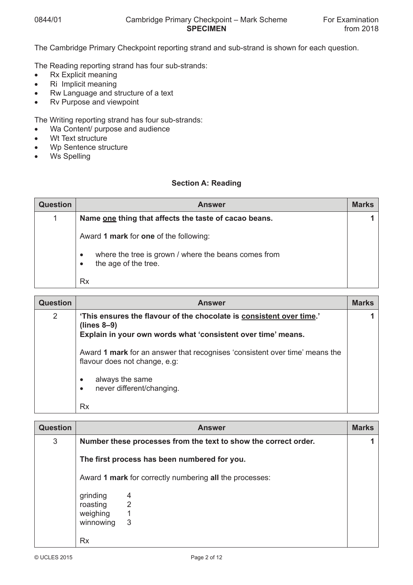The Cambridge Primary Checkpoint reporting strand and sub-strand is shown for each question.

The Reading reporting strand has four sub-strands:

- Rx Explicit meaning
- Ri Implicit meaning
- Rw Language and structure of a text
- Rv Purpose and viewpoint

The Writing reporting strand has four sub-strands:

- Wa Content/ purpose and audience
- Wt Text structure
- Wp Sentence structure
- Ws Spelling

#### **Section A: Reading**

| <b>Question</b> | <b>Answer</b>                                                                                          | <b>Marks</b> |
|-----------------|--------------------------------------------------------------------------------------------------------|--------------|
| 1               | Name one thing that affects the taste of cacao beans.                                                  |              |
|                 | Award 1 mark for one of the following:                                                                 |              |
|                 | where the tree is grown / where the beans comes from<br>$\bullet$<br>the age of the tree.<br>$\bullet$ |              |
|                 | Rx                                                                                                     |              |

| <b>Question</b> | <b>Answer</b>                                                                                                                                                                                                                                                                                                                            | <b>Marks</b> |
|-----------------|------------------------------------------------------------------------------------------------------------------------------------------------------------------------------------------------------------------------------------------------------------------------------------------------------------------------------------------|--------------|
| $\overline{2}$  | 'This ensures the flavour of the chocolate is consistent over time.'<br>$(lines 8-9)$<br>Explain in your own words what 'consistent over time' means.<br>Award 1 mark for an answer that recognises 'consistent over time' means the<br>flavour does not change, e.g:<br>always the same<br>$\bullet$<br>never different/changing.<br>Rx |              |
|                 |                                                                                                                                                                                                                                                                                                                                          |              |

| <b>Question</b> | <b>Answer</b>                                                       | <b>Marks</b> |
|-----------------|---------------------------------------------------------------------|--------------|
| 3               | Number these processes from the text to show the correct order.     |              |
|                 | The first process has been numbered for you.                        |              |
|                 | Award 1 mark for correctly numbering all the processes:             |              |
|                 | grinding<br>$\frac{4}{2}$<br>roasting<br>weighing<br>3<br>winnowing |              |
|                 | <b>Rx</b>                                                           |              |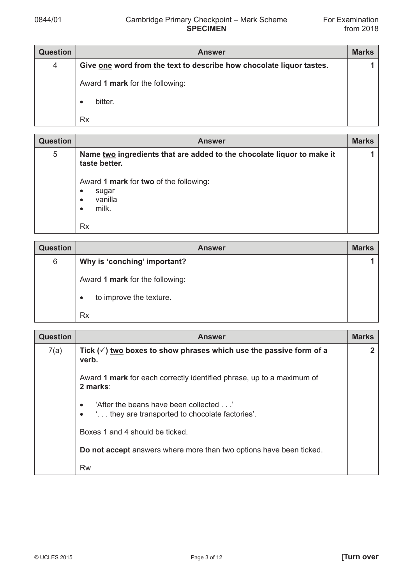| <b>Question</b> | <b>Answer</b>                                                        | <b>Marks</b> |
|-----------------|----------------------------------------------------------------------|--------------|
| 4               | Give one word from the text to describe how chocolate liquor tastes. |              |
|                 | Award 1 mark for the following:                                      |              |
|                 | bitter.                                                              |              |
|                 | <b>Rx</b>                                                            |              |

| <b>Question</b> | <b>Answer</b>                                                                                                           | <b>Marks</b> |
|-----------------|-------------------------------------------------------------------------------------------------------------------------|--------------|
| 5               | Name two ingredients that are added to the chocolate liquor to make it<br>taste better.                                 |              |
|                 | Award 1 mark for two of the following:<br>sugar<br>$\bullet$<br>vanilla<br>$\bullet$<br>milk.<br>$\bullet$<br><b>Rx</b> |              |

| <b>Question</b> | <b>Answer</b>                        | <b>Marks</b> |
|-----------------|--------------------------------------|--------------|
| 6               | Why is 'conching' important?         |              |
|                 | Award 1 mark for the following:      |              |
|                 | to improve the texture.<br>$\bullet$ |              |
|                 | <b>Rx</b>                            |              |

| <b>Question</b> | <b>Answer</b>                                                                                                      | <b>Marks</b> |
|-----------------|--------------------------------------------------------------------------------------------------------------------|--------------|
| 7(a)            | Tick $(\check{v})$ two boxes to show phrases which use the passive form of a<br>verb.                              |              |
|                 | Award 1 mark for each correctly identified phrase, up to a maximum of<br>2 marks:                                  |              |
|                 | 'After the beans have been collected'<br>$\bullet$<br>" they are transported to chocolate factories".<br>$\bullet$ |              |
|                 | Boxes 1 and 4 should be ticked.                                                                                    |              |
|                 | Do not accept answers where more than two options have been ticked.                                                |              |
|                 | <b>Rw</b>                                                                                                          |              |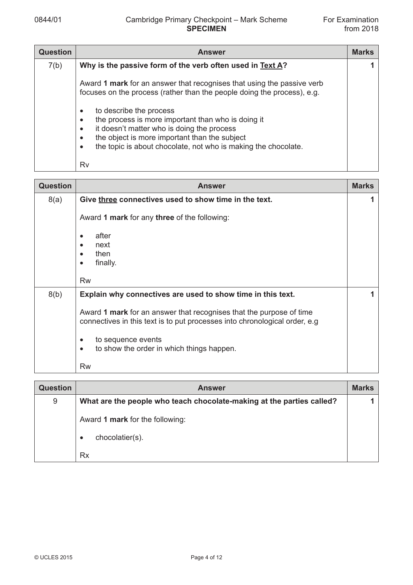| <b>Question</b> | <b>Answer</b>                                                                                                                                                                                                                                                                                                                                                                                                                                                        | <b>Marks</b> |
|-----------------|----------------------------------------------------------------------------------------------------------------------------------------------------------------------------------------------------------------------------------------------------------------------------------------------------------------------------------------------------------------------------------------------------------------------------------------------------------------------|--------------|
| 7(b)            | Why is the passive form of the verb often used in Text A?                                                                                                                                                                                                                                                                                                                                                                                                            |              |
|                 | Award 1 mark for an answer that recognises that using the passive verb<br>focuses on the process (rather than the people doing the process), e.g.<br>to describe the process<br>$\bullet$<br>the process is more important than who is doing it<br>$\bullet$<br>it doesn't matter who is doing the process<br>$\bullet$<br>the object is more important than the subject<br>$\bullet$<br>the topic is about chocolate, not who is making the chocolate.<br>$\bullet$ |              |
|                 | Rv                                                                                                                                                                                                                                                                                                                                                                                                                                                                   |              |

| <b>Question</b> | <b>Answer</b>                                                                                                                                                                                                                                                | <b>Marks</b> |
|-----------------|--------------------------------------------------------------------------------------------------------------------------------------------------------------------------------------------------------------------------------------------------------------|--------------|
| 8(a)            | Give three connectives used to show time in the text.                                                                                                                                                                                                        |              |
|                 | Award 1 mark for any three of the following:                                                                                                                                                                                                                 |              |
|                 | after<br>$\bullet$                                                                                                                                                                                                                                           |              |
|                 | next                                                                                                                                                                                                                                                         |              |
|                 | then                                                                                                                                                                                                                                                         |              |
|                 | finally.<br>$\bullet$                                                                                                                                                                                                                                        |              |
|                 | <b>Rw</b>                                                                                                                                                                                                                                                    |              |
| 8(b)            | Explain why connectives are used to show time in this text.                                                                                                                                                                                                  |              |
|                 | Award 1 mark for an answer that recognises that the purpose of time<br>connectives in this text is to put processes into chronological order, e.g.<br>to sequence events<br>$\bullet$<br>to show the order in which things happen.<br>$\bullet$<br><b>Rw</b> |              |

| <b>Question</b> | <b>Answer</b>                                                         | <b>Marks</b> |
|-----------------|-----------------------------------------------------------------------|--------------|
| 9               | What are the people who teach chocolate-making at the parties called? |              |
|                 | Award 1 mark for the following:                                       |              |
|                 | chocolatier(s).<br>٠                                                  |              |
|                 | <b>Rx</b>                                                             |              |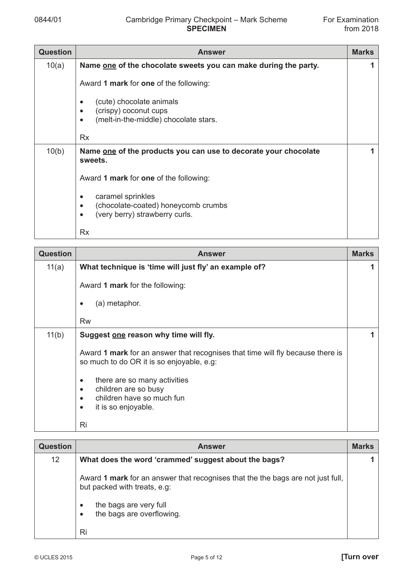| <b>Question</b> | <b>Answer</b>                                                              | <b>Marks</b> |
|-----------------|----------------------------------------------------------------------------|--------------|
| 10(a)           | Name one of the chocolate sweets you can make during the party.            |              |
|                 | Award 1 mark for one of the following:                                     |              |
|                 | (cute) chocolate animals<br>$\bullet$                                      |              |
|                 | (crispy) coconut cups<br>$\bullet$                                         |              |
|                 | (melt-in-the-middle) chocolate stars.<br>$\bullet$                         |              |
|                 | <b>Rx</b>                                                                  |              |
| 10(b)           | Name one of the products you can use to decorate your chocolate<br>sweets. |              |
|                 | Award 1 mark for one of the following:                                     |              |
|                 | caramel sprinkles<br>$\bullet$                                             |              |
|                 | (chocolate-coated) honeycomb crumbs<br>$\bullet$                           |              |
|                 | (very berry) strawberry curls.<br>$\bullet$                                |              |
|                 | <b>Rx</b>                                                                  |              |

| <b>Question</b> | <b>Answer</b>                                                                                                               | <b>Marks</b> |
|-----------------|-----------------------------------------------------------------------------------------------------------------------------|--------------|
| 11(a)           | What technique is 'time will just fly' an example of?                                                                       |              |
|                 | Award 1 mark for the following:                                                                                             |              |
|                 | (a) metaphor.<br>$\bullet$                                                                                                  |              |
|                 | <b>Rw</b>                                                                                                                   |              |
| 11(b)           | Suggest one reason why time will fly.                                                                                       |              |
|                 | Award 1 mark for an answer that recognises that time will fly because there is<br>so much to do OR it is so enjoyable, e.g. |              |
|                 | there are so many activities<br>٠                                                                                           |              |
|                 | children are so busy<br>$\bullet$<br>children have so much fun<br>$\bullet$                                                 |              |
|                 | it is so enjoyable.<br>$\bullet$                                                                                            |              |
|                 | Ri                                                                                                                          |              |

| <b>Question</b> | <b>Answer</b>                                                                                                                                                                       | <b>Marks</b> |
|-----------------|-------------------------------------------------------------------------------------------------------------------------------------------------------------------------------------|--------------|
| 12              | What does the word 'crammed' suggest about the bags?                                                                                                                                |              |
|                 | Award 1 mark for an answer that recognises that the the bags are not just full,<br>but packed with treats, e.g:<br>the bags are very full<br>the bags are overflowing.<br>$\bullet$ |              |
|                 | Ri                                                                                                                                                                                  |              |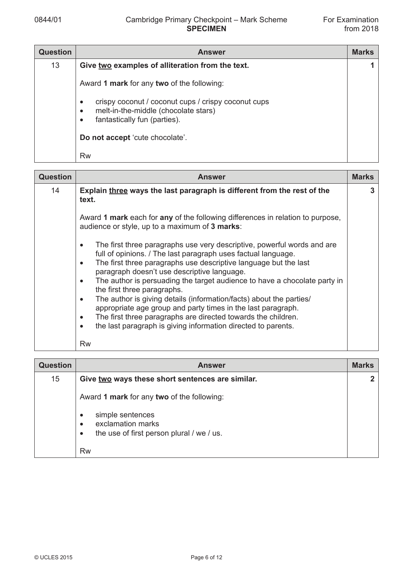| <b>Question</b> | <b>Answer</b>                                                                                                                                                      | <b>Marks</b> |
|-----------------|--------------------------------------------------------------------------------------------------------------------------------------------------------------------|--------------|
| 13              | Give two examples of alliteration from the text.                                                                                                                   |              |
|                 | Award 1 mark for any two of the following:                                                                                                                         |              |
|                 | crispy coconut / coconut cups / crispy coconut cups<br>$\bullet$<br>melt-in-the-middle (chocolate stars)<br>$\bullet$<br>fantastically fun (parties).<br>$\bullet$ |              |
|                 | Do not accept 'cute chocolate'.                                                                                                                                    |              |
|                 | <b>Rw</b>                                                                                                                                                          |              |

| <b>Question</b> | <b>Answer</b>                                                                                                                                                                                                                                                                                                                                                                                                                                                                                                                                                                                                                                                                                                  | <b>Marks</b> |
|-----------------|----------------------------------------------------------------------------------------------------------------------------------------------------------------------------------------------------------------------------------------------------------------------------------------------------------------------------------------------------------------------------------------------------------------------------------------------------------------------------------------------------------------------------------------------------------------------------------------------------------------------------------------------------------------------------------------------------------------|--------------|
| 14              | Explain three ways the last paragraph is different from the rest of the<br>text.                                                                                                                                                                                                                                                                                                                                                                                                                                                                                                                                                                                                                               | 3            |
|                 | Award 1 mark each for any of the following differences in relation to purpose,<br>audience or style, up to a maximum of 3 marks:                                                                                                                                                                                                                                                                                                                                                                                                                                                                                                                                                                               |              |
|                 | The first three paragraphs use very descriptive, powerful words and are<br>٠<br>full of opinions. / The last paragraph uses factual language.<br>The first three paragraphs use descriptive language but the last<br>٠<br>paragraph doesn't use descriptive language.<br>The author is persuading the target audience to have a chocolate party in<br>$\bullet$<br>the first three paragraphs.<br>The author is giving details (information/facts) about the parties/<br>$\bullet$<br>appropriate age group and party times in the last paragraph.<br>The first three paragraphs are directed towards the children.<br>$\bullet$<br>the last paragraph is giving information directed to parents.<br>$\bullet$ |              |
|                 | <b>Rw</b>                                                                                                                                                                                                                                                                                                                                                                                                                                                                                                                                                                                                                                                                                                      |              |

| <b>Question</b> | <b>Answer</b>                                                                                                             | <b>Marks</b> |
|-----------------|---------------------------------------------------------------------------------------------------------------------------|--------------|
| 15              | Give two ways these short sentences are similar.                                                                          |              |
|                 | Award 1 mark for any two of the following:                                                                                |              |
|                 | simple sentences<br>$\bullet$<br>exclamation marks<br>$\bullet$<br>the use of first person plural / we / us.<br>$\bullet$ |              |
|                 | <b>Rw</b>                                                                                                                 |              |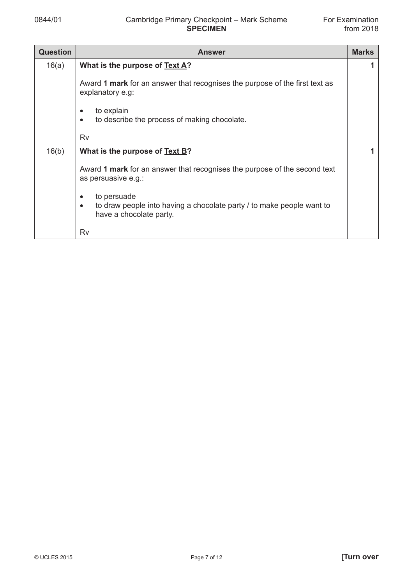| <b>Question</b> | <b>Answer</b>                                                                                                                             | <b>Marks</b> |
|-----------------|-------------------------------------------------------------------------------------------------------------------------------------------|--------------|
| 16(a)           | What is the purpose of Text A?                                                                                                            | 1            |
|                 | Award 1 mark for an answer that recognises the purpose of the first text as<br>explanatory e.g:                                           |              |
|                 | to explain<br>$\bullet$<br>to describe the process of making chocolate.<br>$\bullet$                                                      |              |
|                 | Rv                                                                                                                                        |              |
| 16(b)           | What is the purpose of Text B?                                                                                                            |              |
|                 | Award 1 mark for an answer that recognises the purpose of the second text<br>as persuasive e.g.:                                          |              |
|                 | to persuade<br>$\bullet$<br>to draw people into having a chocolate party / to make people want to<br>$\bullet$<br>have a chocolate party. |              |
|                 | Rv                                                                                                                                        |              |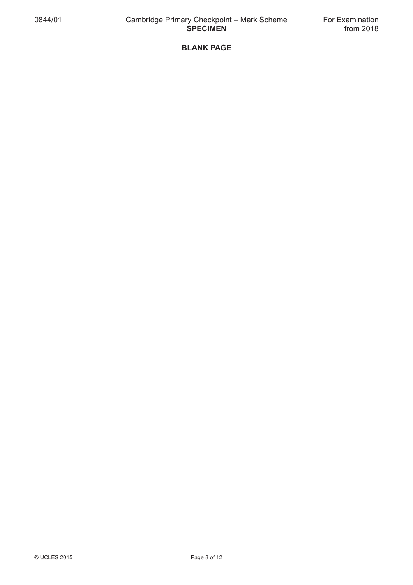#### **BLANK PAGE**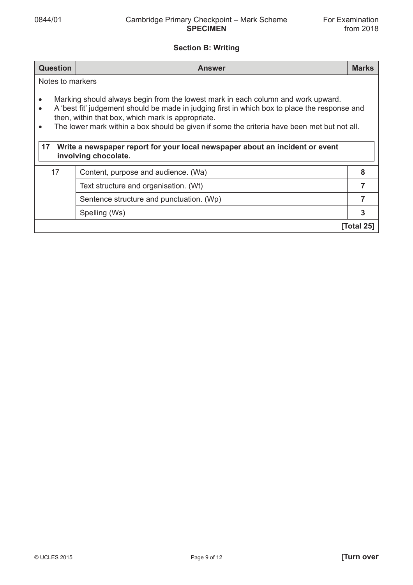### **Section B: Writing**

| <b>Question</b>  | <b>Answer</b>                                                                                                                                                                                                                                                                                                                                                                                                                                 | <b>Marks</b> |
|------------------|-----------------------------------------------------------------------------------------------------------------------------------------------------------------------------------------------------------------------------------------------------------------------------------------------------------------------------------------------------------------------------------------------------------------------------------------------|--------------|
| Notes to markers |                                                                                                                                                                                                                                                                                                                                                                                                                                               |              |
| 17               | Marking should always begin from the lowest mark in each column and work upward.<br>A 'best fit' judgement should be made in judging first in which box to place the response and<br>then, within that box, which mark is appropriate.<br>The lower mark within a box should be given if some the criteria have been met but not all.<br>Write a newspaper report for your local newspaper about an incident or event<br>involving chocolate. |              |
| 17               | Content, purpose and audience. (Wa)                                                                                                                                                                                                                                                                                                                                                                                                           | 8            |
|                  | Text structure and organisation. (Wt)                                                                                                                                                                                                                                                                                                                                                                                                         |              |
|                  | Sentence structure and punctuation. (Wp)                                                                                                                                                                                                                                                                                                                                                                                                      |              |
|                  | Spelling (Ws)                                                                                                                                                                                                                                                                                                                                                                                                                                 | 3            |
|                  |                                                                                                                                                                                                                                                                                                                                                                                                                                               | ⊺Total 25⊺   |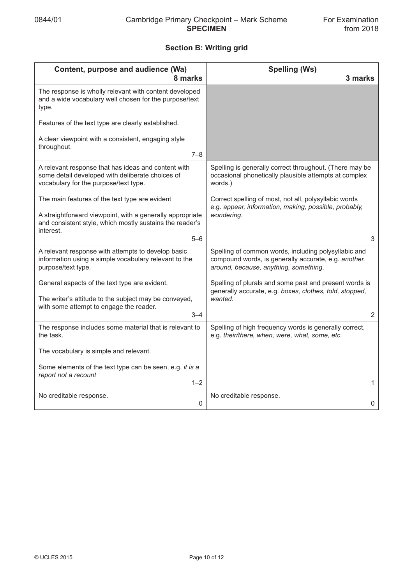## **Section B: Writing grid**

| Content, purpose and audience (Wa)                                                                                                               | <b>Spelling (Ws)</b>                                                                                                                                  |
|--------------------------------------------------------------------------------------------------------------------------------------------------|-------------------------------------------------------------------------------------------------------------------------------------------------------|
| 8 marks                                                                                                                                          | 3 marks                                                                                                                                               |
| The response is wholly relevant with content developed<br>and a wide vocabulary well chosen for the purpose/text<br>type.                        |                                                                                                                                                       |
| Features of the text type are clearly established.                                                                                               |                                                                                                                                                       |
| A clear viewpoint with a consistent, engaging style<br>throughout.<br>$7 - 8$                                                                    |                                                                                                                                                       |
| A relevant response that has ideas and content with<br>some detail developed with deliberate choices of<br>vocabulary for the purpose/text type. | Spelling is generally correct throughout. (There may be<br>occasional phonetically plausible attempts at complex<br>words.)                           |
| The main features of the text type are evident                                                                                                   | Correct spelling of most, not all, polysyllabic words<br>e.g. appear, information, making, possible, probably,                                        |
| A straightforward viewpoint, with a generally appropriate<br>and consistent style, which mostly sustains the reader's<br>interest.               | wondering.                                                                                                                                            |
| $5 - 6$                                                                                                                                          | 3                                                                                                                                                     |
| A relevant response with attempts to develop basic<br>information using a simple vocabulary relevant to the<br>purpose/text type.                | Spelling of common words, including polysyllabic and<br>compound words, is generally accurate, e.g. another,<br>around, because, anything, something. |
| General aspects of the text type are evident.                                                                                                    | Spelling of plurals and some past and present words is<br>generally accurate, e.g. boxes, clothes, told, stopped,                                     |
| The writer's attitude to the subject may be conveyed,<br>with some attempt to engage the reader.                                                 | wanted.                                                                                                                                               |
| $3 - 4$                                                                                                                                          | 2                                                                                                                                                     |
| The response includes some material that is relevant to<br>the task.                                                                             | Spelling of high frequency words is generally correct,<br>e.g. their/there, when, were, what, some, etc.                                              |
| The vocabulary is simple and relevant.                                                                                                           |                                                                                                                                                       |
| Some elements of the text type can be seen, e.g. it is a<br>report not a recount                                                                 |                                                                                                                                                       |
| $1 - 2$                                                                                                                                          | 1                                                                                                                                                     |
| No creditable response.<br>0                                                                                                                     | No creditable response.<br>0                                                                                                                          |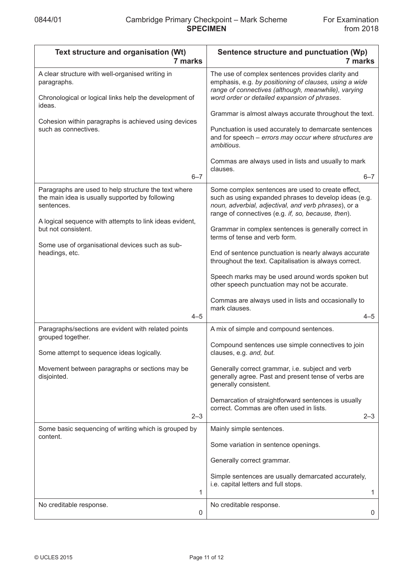| Text structure and organisation (Wt)<br>7 marks                                                                           | Sentence structure and punctuation (Wp)<br>7 marks                                                                                                                                                                       |
|---------------------------------------------------------------------------------------------------------------------------|--------------------------------------------------------------------------------------------------------------------------------------------------------------------------------------------------------------------------|
| A clear structure with well-organised writing in<br>paragraphs.<br>Chronological or logical links help the development of | The use of complex sentences provides clarity and<br>emphasis, e.g. by positioning of clauses, using a wide<br>range of connectives (although, meanwhile), varying<br>word order or detailed expansion of phrases.       |
| ideas.<br>Cohesion within paragraphs is achieved using devices                                                            | Grammar is almost always accurate throughout the text.                                                                                                                                                                   |
| such as connectives.                                                                                                      | Punctuation is used accurately to demarcate sentences<br>and for speech - errors may occur where structures are<br>ambitious.                                                                                            |
| $6 - 7$                                                                                                                   | Commas are always used in lists and usually to mark<br>clauses.<br>$6 - 7$                                                                                                                                               |
| Paragraphs are used to help structure the text where<br>the main idea is usually supported by following<br>sentences.     | Some complex sentences are used to create effect,<br>such as using expanded phrases to develop ideas (e.g.<br>noun, adverbial, adjectival, and verb phrases), or a<br>range of connectives (e.g. if, so, because, then). |
| A logical sequence with attempts to link ideas evident,<br>but not consistent.                                            | Grammar in complex sentences is generally correct in<br>terms of tense and verb form.                                                                                                                                    |
| Some use of organisational devices such as sub-<br>headings, etc.                                                         | End of sentence punctuation is nearly always accurate<br>throughout the text. Capitalisation is always correct.                                                                                                          |
|                                                                                                                           | Speech marks may be used around words spoken but<br>other speech punctuation may not be accurate.                                                                                                                        |
|                                                                                                                           | Commas are always used in lists and occasionally to<br>mark clauses.                                                                                                                                                     |
| $4 - 5$                                                                                                                   | $4 - 5$                                                                                                                                                                                                                  |
| Paragraphs/sections are evident with related points<br>grouped together.                                                  | A mix of simple and compound sentences.                                                                                                                                                                                  |
| Some attempt to sequence ideas logically.                                                                                 | Compound sentences use simple connectives to join<br>clauses, e.g. and, but.                                                                                                                                             |
| Movement between paragraphs or sections may be<br>disjointed.                                                             | Generally correct grammar, i.e. subject and verb<br>generally agree. Past and present tense of verbs are<br>generally consistent.                                                                                        |
| $2 - 3$                                                                                                                   | Demarcation of straightforward sentences is usually<br>correct. Commas are often used in lists.<br>$2 - 3$                                                                                                               |
|                                                                                                                           |                                                                                                                                                                                                                          |
| Some basic sequencing of writing which is grouped by<br>content.                                                          | Mainly simple sentences.                                                                                                                                                                                                 |
|                                                                                                                           | Some variation in sentence openings.                                                                                                                                                                                     |
|                                                                                                                           | Generally correct grammar.                                                                                                                                                                                               |
| 1                                                                                                                         | Simple sentences are usually demarcated accurately,<br>i.e. capital letters and full stops.<br>1                                                                                                                         |
| No creditable response.                                                                                                   | No creditable response.                                                                                                                                                                                                  |
| 0                                                                                                                         | 0                                                                                                                                                                                                                        |